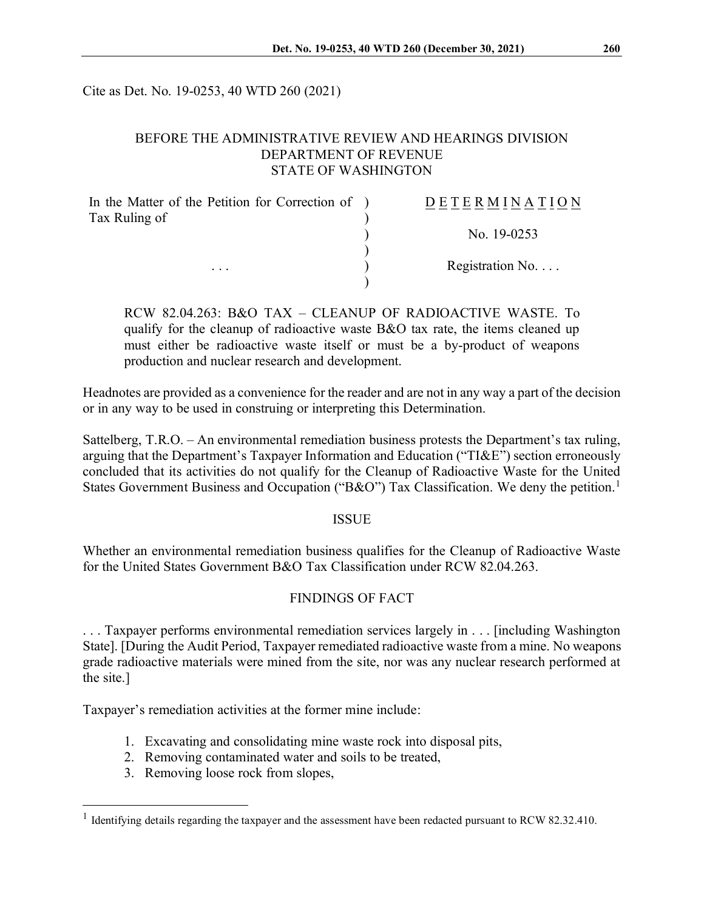Cite as Det. No. 19-0253, 40 WTD 260 (2021)

### BEFORE THE ADMINISTRATIVE REVIEW AND HEARINGS DIVISION DEPARTMENT OF REVENUE STATE OF WASHINGTON

| In the Matter of the Petition for Correction of ) | <b>DETERMINATION</b>     |
|---------------------------------------------------|--------------------------|
| Tax Ruling of                                     |                          |
|                                                   | No. 19-0253              |
|                                                   |                          |
| $\cdots$                                          | Registration No. $\dots$ |
|                                                   |                          |

RCW 82.04.263: B&O TAX – CLEANUP OF RADIOACTIVE WASTE. To qualify for the cleanup of radioactive waste B&O tax rate, the items cleaned up must either be radioactive waste itself or must be a by-product of weapons production and nuclear research and development.

Headnotes are provided as a convenience for the reader and are not in any way a part of the decision or in any way to be used in construing or interpreting this Determination.

Sattelberg, T.R.O. – An environmental remediation business protests the Department's tax ruling, arguing that the Department's Taxpayer Information and Education ("TI&E") section erroneously concluded that its activities do not qualify for the Cleanup of Radioactive Waste for the United States Government Business and Occupation ("B&O") Tax Classification. We deny the petition.<sup>[1](#page-0-0)</sup>

#### ISSUE

Whether an environmental remediation business qualifies for the Cleanup of Radioactive Waste for the United States Government B&O Tax Classification under RCW 82.04.263.

## FINDINGS OF FACT

. . . Taxpayer performs environmental remediation services largely in . . . [including Washington State]. [During the Audit Period, Taxpayer remediated radioactive waste from a mine. No weapons grade radioactive materials were mined from the site, nor was any nuclear research performed at the site.]

Taxpayer's remediation activities at the former mine include:

- 1. Excavating and consolidating mine waste rock into disposal pits,
- 2. Removing contaminated water and soils to be treated,
- 3. Removing loose rock from slopes,

<span id="page-0-0"></span><sup>&</sup>lt;sup>1</sup> Identifying details regarding the taxpayer and the assessment have been redacted pursuant to RCW 82.32.410.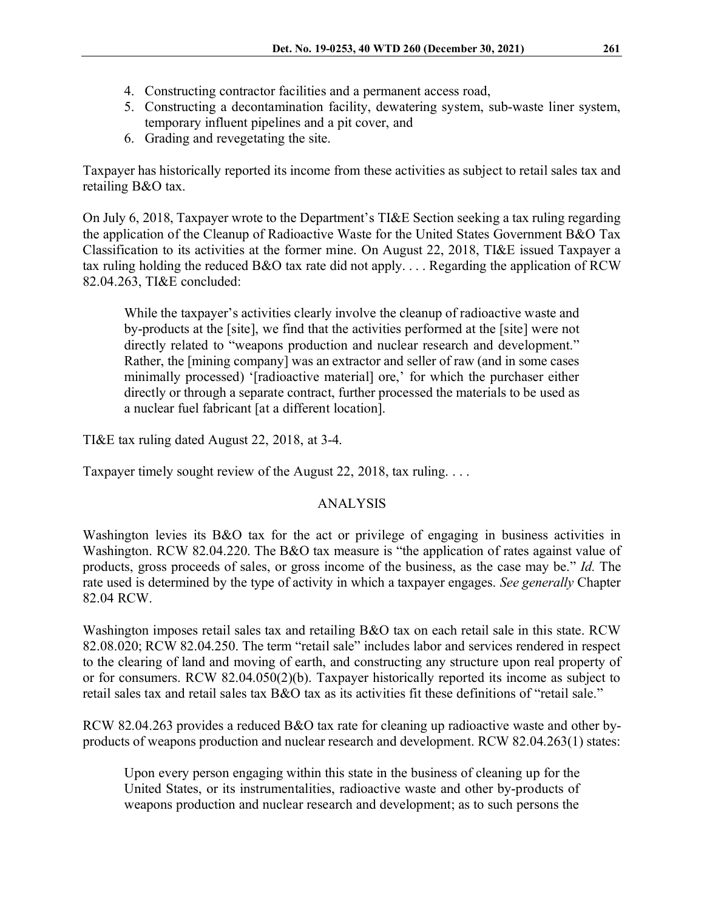- 4. Constructing contractor facilities and a permanent access road,
- 5. Constructing a decontamination facility, dewatering system, sub-waste liner system, temporary influent pipelines and a pit cover, and
- 6. Grading and revegetating the site.

Taxpayer has historically reported its income from these activities as subject to retail sales tax and retailing B&O tax.

On July 6, 2018, Taxpayer wrote to the Department's TI&E Section seeking a tax ruling regarding the application of the Cleanup of Radioactive Waste for the United States Government B&O Tax Classification to its activities at the former mine. On August 22, 2018, TI&E issued Taxpayer a tax ruling holding the reduced B&O tax rate did not apply. . . . Regarding the application of RCW 82.04.263, TI&E concluded:

While the taxpayer's activities clearly involve the cleanup of radioactive waste and by-products at the [site], we find that the activities performed at the [site] were not directly related to "weapons production and nuclear research and development." Rather, the [mining company] was an extractor and seller of raw (and in some cases minimally processed) '[radioactive material] ore,' for which the purchaser either directly or through a separate contract, further processed the materials to be used as a nuclear fuel fabricant [at a different location].

TI&E tax ruling dated August 22, 2018, at 3-4.

Taxpayer timely sought review of the August 22, 2018, tax ruling. . . .

# ANALYSIS

Washington levies its B&O tax for the act or privilege of engaging in business activities in Washington. RCW 82.04.220. The B&O tax measure is "the application of rates against value of products, gross proceeds of sales, or gross income of the business, as the case may be." *Id.* The rate used is determined by the type of activity in which a taxpayer engages. *See generally* Chapter 82.04 RCW.

Washington imposes retail sales tax and retailing B&O tax on each retail sale in this state. RCW 82.08.020; RCW 82.04.250. The term "retail sale" includes labor and services rendered in respect to the clearing of land and moving of earth, and constructing any structure upon real property of or for consumers. RCW 82.04.050(2)(b). Taxpayer historically reported its income as subject to retail sales tax and retail sales tax B&O tax as its activities fit these definitions of "retail sale."

RCW 82.04.263 provides a reduced B&O tax rate for cleaning up radioactive waste and other byproducts of weapons production and nuclear research and development. RCW 82.04.263(1) states:

Upon every person engaging within this state in the business of cleaning up for the United States, or its instrumentalities, radioactive waste and other by-products of weapons production and nuclear research and development; as to such persons the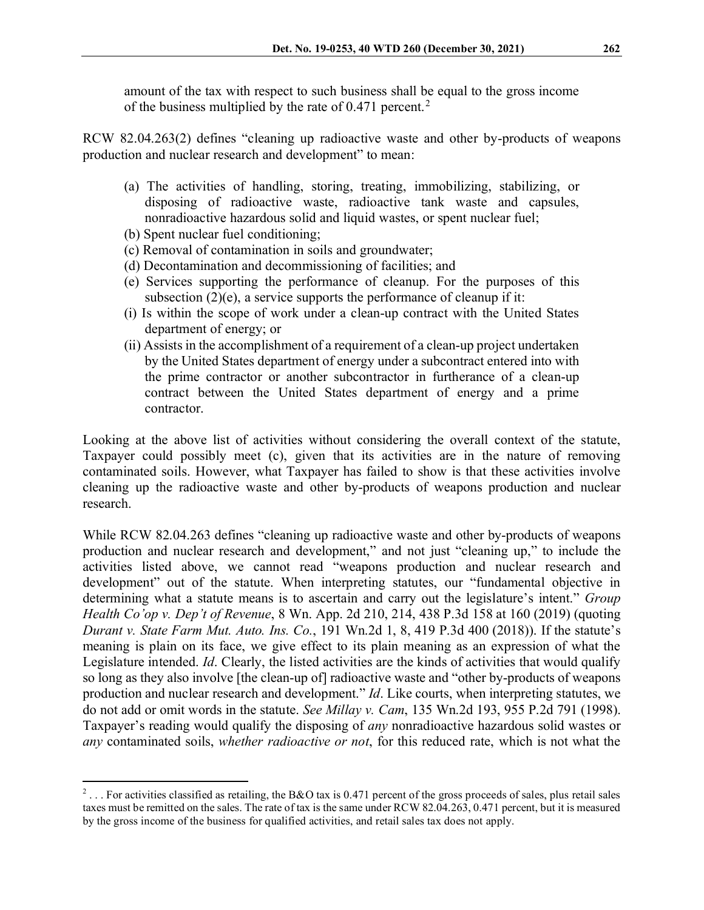amount of the tax with respect to such business shall be equal to the gross income of the business multiplied by the rate of  $0.471$  percent.<sup>[2](#page-2-0)</sup>

RCW 82.04.263(2) defines "cleaning up radioactive waste and other by-products of weapons production and nuclear research and development" to mean:

- (a) The activities of handling, storing, treating, immobilizing, stabilizing, or disposing of radioactive waste, radioactive tank waste and capsules, nonradioactive hazardous solid and liquid wastes, or spent nuclear fuel;
- (b) Spent nuclear fuel conditioning;
- (c) Removal of contamination in soils and groundwater;
- (d) Decontamination and decommissioning of facilities; and
- (e) Services supporting the performance of cleanup. For the purposes of this subsection  $(2)(e)$ , a service supports the performance of cleanup if it:
- (i) Is within the scope of work under a clean-up contract with the United States department of energy; or
- (ii) Assists in the accomplishment of a requirement of a clean-up project undertaken by the United States department of energy under a subcontract entered into with the prime contractor or another subcontractor in furtherance of a clean-up contract between the United States department of energy and a prime contractor.

Looking at the above list of activities without considering the overall context of the statute, Taxpayer could possibly meet (c), given that its activities are in the nature of removing contaminated soils. However, what Taxpayer has failed to show is that these activities involve cleaning up the radioactive waste and other by-products of weapons production and nuclear research.

While RCW 82.04.263 defines "cleaning up radioactive waste and other by-products of weapons production and nuclear research and development," and not just "cleaning up," to include the activities listed above, we cannot read "weapons production and nuclear research and development" out of the statute. When interpreting statutes, our "fundamental objective in determining what a statute means is to ascertain and carry out the legislature's intent." *Group Health Co'op v. Dep't of Revenue*, 8 Wn. App. 2d 210, 214, 438 P.3d 158 at 160 (2019) (quoting *Durant v. State Farm Mut. Auto. Ins. Co.*, 191 Wn.2d 1, 8, 419 P.3d 400 (2018)). If the statute's meaning is plain on its face, we give effect to its plain meaning as an expression of what the Legislature intended. *Id*. Clearly, the listed activities are the kinds of activities that would qualify so long as they also involve [the clean-up of] radioactive waste and "other by-products of weapons production and nuclear research and development." *Id*. Like courts, when interpreting statutes, we do not add or omit words in the statute. *See Millay v. Cam*, 135 Wn.2d 193, 955 P.2d 791 (1998). Taxpayer's reading would qualify the disposing of *any* nonradioactive hazardous solid wastes or *any* contaminated soils, *whether radioactive or not*, for this reduced rate, which is not what the

<span id="page-2-0"></span> $2 \ldots$  For activities classified as retailing, the B&O tax is 0.471 percent of the gross proceeds of sales, plus retail sales taxes must be remitted on the sales. The rate of tax is the same under RCW 82.04.263, 0.471 percent, but it is measured by the gross income of the business for qualified activities, and retail sales tax does not apply.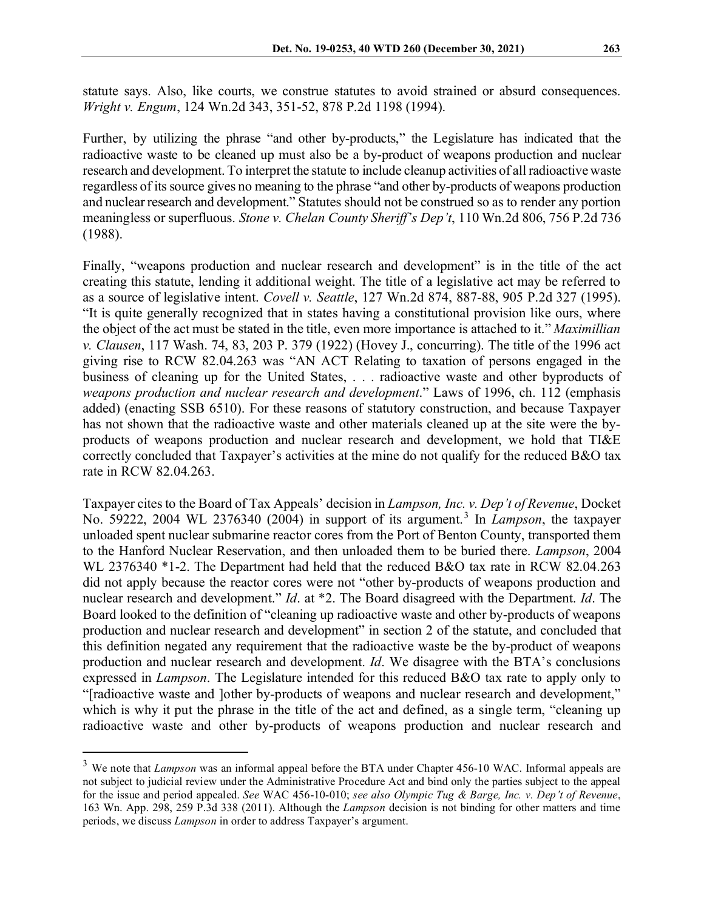statute says. Also, like courts, we construe statutes to avoid strained or absurd consequences. *Wright v. Engum*, 124 Wn.2d 343, 351-52, 878 P.2d 1198 (1994).

Further, by utilizing the phrase "and other by-products," the Legislature has indicated that the radioactive waste to be cleaned up must also be a by-product of weapons production and nuclear research and development. To interpret the statute to include cleanup activities of all radioactive waste regardless of its source gives no meaning to the phrase "and other by-products of weapons production and nuclear research and development." Statutes should not be construed so as to render any portion meaningless or superfluous. *Stone v. Chelan County Sheriff's Dep't*, 110 Wn.2d 806, 756 P.2d 736 (1988).

Finally, "weapons production and nuclear research and development" is in the title of the act creating this statute, lending it additional weight. The title of a legislative act may be referred to as a source of legislative intent. *Covell v. Seattle*, 127 Wn.2d 874, 887-88, 905 P.2d 327 (1995). "It is quite generally recognized that in states having a constitutional provision like ours, where the object of the act must be stated in the title, even more importance is attached to it." *Maximillian v. Clausen*, 117 Wash. 74, 83, 203 P. 379 (1922) (Hovey J., concurring). The title of the 1996 act giving rise to RCW 82.04.263 was "AN ACT Relating to taxation of persons engaged in the business of cleaning up for the United States, . . . radioactive waste and other byproducts of *weapons production and nuclear research and development*." Laws of 1996, ch. 112 (emphasis added) (enacting SSB 6510). For these reasons of statutory construction, and because Taxpayer has not shown that the radioactive waste and other materials cleaned up at the site were the byproducts of weapons production and nuclear research and development, we hold that TI&E correctly concluded that Taxpayer's activities at the mine do not qualify for the reduced B&O tax rate in RCW 82.04.263.

Taxpayer cites to the Board of Tax Appeals' decision in *Lampson, Inc. v. Dep't of Revenue*, Docket No. 59222, 2004 WL 2376340 (2004) in support of its argument.[3](#page-3-0) In *Lampson*, the taxpayer unloaded spent nuclear submarine reactor cores from the Port of Benton County, transported them to the Hanford Nuclear Reservation, and then unloaded them to be buried there. *Lampson*, 2004 WL 2376340 \*1-2. The Department had held that the reduced B&O tax rate in RCW 82.04.263 did not apply because the reactor cores were not "other by-products of weapons production and nuclear research and development." *Id*. at \*2. The Board disagreed with the Department. *Id*. The Board looked to the definition of "cleaning up radioactive waste and other by-products of weapons production and nuclear research and development" in section 2 of the statute, and concluded that this definition negated any requirement that the radioactive waste be the by-product of weapons production and nuclear research and development. *Id*. We disagree with the BTA's conclusions expressed in *Lampson*. The Legislature intended for this reduced B&O tax rate to apply only to "[radioactive waste and ]other by-products of weapons and nuclear research and development," which is why it put the phrase in the title of the act and defined, as a single term, "cleaning up radioactive waste and other by-products of weapons production and nuclear research and

<span id="page-3-0"></span><sup>3</sup> We note that *Lampson* was an informal appeal before the BTA under Chapter 456-10 WAC. Informal appeals are not subject to judicial review under the Administrative Procedure Act and bind only the parties subject to the appeal for the issue and period appealed. *See* WAC 456-10-010; *see also Olympic Tug & Barge, Inc. v. Dep't of Revenue*, 163 Wn. App. 298, 259 P.3d 338 (2011). Although the *Lampson* decision is not binding for other matters and time periods, we discuss *Lampson* in order to address Taxpayer's argument.